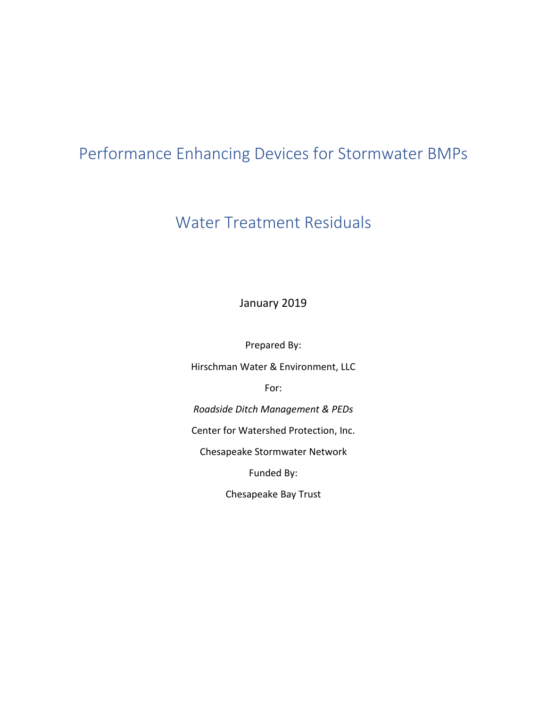# Performance Enhancing Devices for Stormwater BMPs

## Water Treatment Residuals

January 2019

Prepared By:

Hirschman Water & Environment, LLC

For:

*Roadside Ditch Management & PEDs*

Center for Watershed Protection, Inc.

Chesapeake Stormwater Network

Funded By:

Chesapeake Bay Trust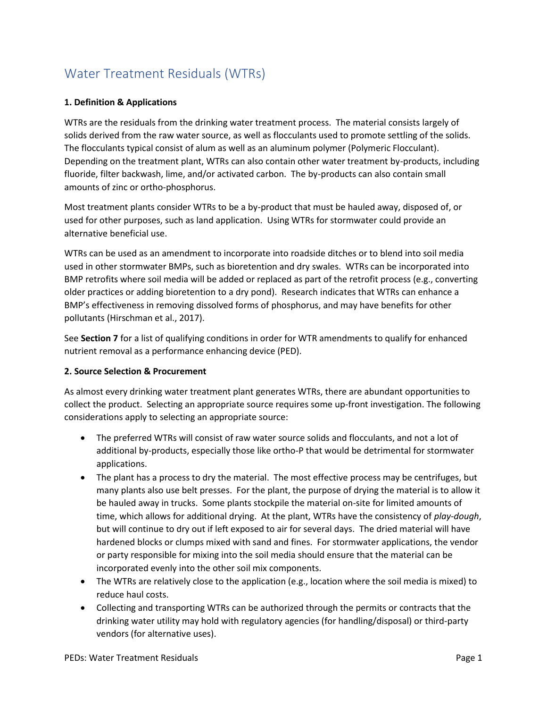### Water Treatment Residuals (WTRs)

#### **1. Definition & Applications**

WTRs are the residuals from the drinking water treatment process. The material consists largely of solids derived from the raw water source, as well as flocculants used to promote settling of the solids. The flocculants typical consist of alum as well as an aluminum polymer (Polymeric Flocculant). Depending on the treatment plant, WTRs can also contain other water treatment by-products, including fluoride, filter backwash, lime, and/or activated carbon. The by-products can also contain small amounts of zinc or ortho-phosphorus.

Most treatment plants consider WTRs to be a by-product that must be hauled away, disposed of, or used for other purposes, such as land application. Using WTRs for stormwater could provide an alternative beneficial use.

WTRs can be used as an amendment to incorporate into roadside ditches or to blend into soil media used in other stormwater BMPs, such as bioretention and dry swales. WTRs can be incorporated into BMP retrofits where soil media will be added or replaced as part of the retrofit process (e.g., converting older practices or adding bioretention to a dry pond). Research indicates that WTRs can enhance a BMP's effectiveness in removing dissolved forms of phosphorus, and may have benefits for other pollutants (Hirschman et al., 2017).

See **Section 7** for a list of qualifying conditions in order for WTR amendments to qualify for enhanced nutrient removal as a performance enhancing device (PED).

#### **2. Source Selection & Procurement**

As almost every drinking water treatment plant generates WTRs, there are abundant opportunities to collect the product. Selecting an appropriate source requires some up-front investigation. The following considerations apply to selecting an appropriate source:

- The preferred WTRs will consist of raw water source solids and flocculants, and not a lot of additional by-products, especially those like ortho-P that would be detrimental for stormwater applications.
- The plant has a process to dry the material. The most effective process may be centrifuges, but many plants also use belt presses. For the plant, the purpose of drying the material is to allow it be hauled away in trucks. Some plants stockpile the material on-site for limited amounts of time, which allows for additional drying. At the plant, WTRs have the consistency of *play-dough*, but will continue to dry out if left exposed to air for several days. The dried material will have hardened blocks or clumps mixed with sand and fines. For stormwater applications, the vendor or party responsible for mixing into the soil media should ensure that the material can be incorporated evenly into the other soil mix components.
- The WTRs are relatively close to the application (e.g., location where the soil media is mixed) to reduce haul costs.
- Collecting and transporting WTRs can be authorized through the permits or contracts that the drinking water utility may hold with regulatory agencies (for handling/disposal) or third-party vendors (for alternative uses).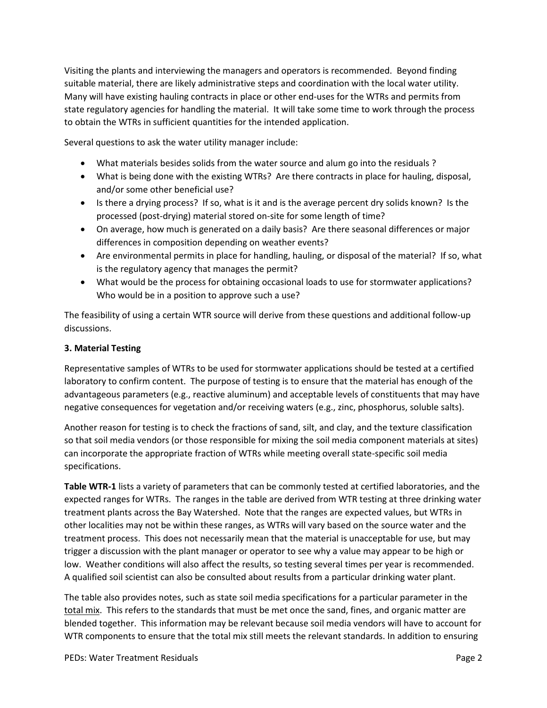Visiting the plants and interviewing the managers and operators is recommended. Beyond finding suitable material, there are likely administrative steps and coordination with the local water utility. Many will have existing hauling contracts in place or other end-uses for the WTRs and permits from state regulatory agencies for handling the material. It will take some time to work through the process to obtain the WTRs in sufficient quantities for the intended application.

Several questions to ask the water utility manager include:

- What materials besides solids from the water source and alum go into the residuals ?
- What is being done with the existing WTRs? Are there contracts in place for hauling, disposal, and/or some other beneficial use?
- Is there a drying process? If so, what is it and is the average percent dry solids known? Is the processed (post-drying) material stored on-site for some length of time?
- On average, how much is generated on a daily basis? Are there seasonal differences or major differences in composition depending on weather events?
- Are environmental permits in place for handling, hauling, or disposal of the material? If so, what is the regulatory agency that manages the permit?
- What would be the process for obtaining occasional loads to use for stormwater applications? Who would be in a position to approve such a use?

The feasibility of using a certain WTR source will derive from these questions and additional follow-up discussions.

#### **3. Material Testing**

Representative samples of WTRs to be used for stormwater applications should be tested at a certified laboratory to confirm content. The purpose of testing is to ensure that the material has enough of the advantageous parameters (e.g., reactive aluminum) and acceptable levels of constituents that may have negative consequences for vegetation and/or receiving waters (e.g., zinc, phosphorus, soluble salts).

Another reason for testing is to check the fractions of sand, silt, and clay, and the texture classification so that soil media vendors (or those responsible for mixing the soil media component materials at sites) can incorporate the appropriate fraction of WTRs while meeting overall state-specific soil media specifications.

**Table WTR-1** lists a variety of parameters that can be commonly tested at certified laboratories, and the expected ranges for WTRs. The ranges in the table are derived from WTR testing at three drinking water treatment plants across the Bay Watershed. Note that the ranges are expected values, but WTRs in other localities may not be within these ranges, as WTRs will vary based on the source water and the treatment process. This does not necessarily mean that the material is unacceptable for use, but may trigger a discussion with the plant manager or operator to see why a value may appear to be high or low. Weather conditions will also affect the results, so testing several times per year is recommended. A qualified soil scientist can also be consulted about results from a particular drinking water plant.

The table also provides notes, such as state soil media specifications for a particular parameter in the total mix. This refers to the standards that must be met once the sand, fines, and organic matter are blended together. This information may be relevant because soil media vendors will have to account for WTR components to ensure that the total mix still meets the relevant standards. In addition to ensuring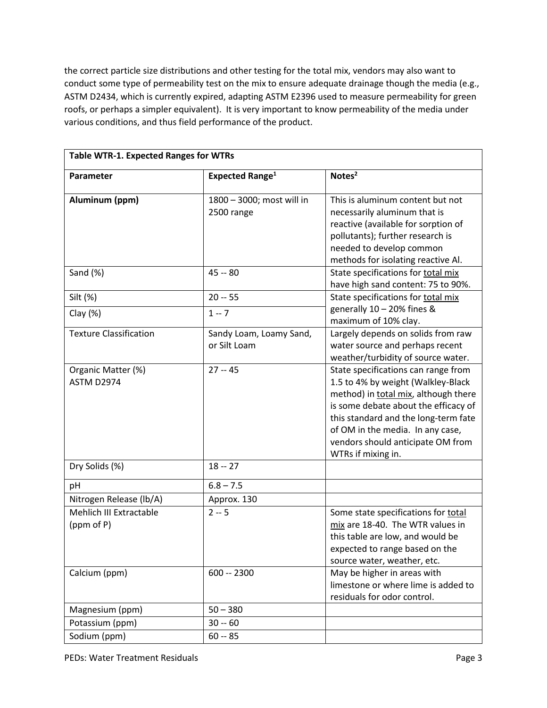the correct particle size distributions and other testing for the total mix, vendors may also want to conduct some type of permeability test on the mix to ensure adequate drainage though the media (e.g., ASTM D2434, which is currently expired, adapting ASTM E2396 used to measure permeability for green roofs, or perhaps a simpler equivalent). It is very important to know permeability of the media under various conditions, and thus field performance of the product.

| <b>Table WTR-1. Expected Ranges for WTRs</b> |                                         |                                                                                                                                                                                                                                                                                                  |
|----------------------------------------------|-----------------------------------------|--------------------------------------------------------------------------------------------------------------------------------------------------------------------------------------------------------------------------------------------------------------------------------------------------|
| Parameter                                    | <b>Expected Range<sup>1</sup></b>       | Notes <sup>2</sup>                                                                                                                                                                                                                                                                               |
| Aluminum (ppm)                               | 1800 - 3000; most will in<br>2500 range | This is aluminum content but not<br>necessarily aluminum that is<br>reactive (available for sorption of<br>pollutants); further research is<br>needed to develop common<br>methods for isolating reactive Al.                                                                                    |
| Sand (%)                                     | $45 - 80$                               | State specifications for total mix<br>have high sand content: 75 to 90%.                                                                                                                                                                                                                         |
| Silt (%)                                     | $20 - 55$                               | State specifications for total mix                                                                                                                                                                                                                                                               |
| Clay $(%)$                                   | $1 - 7$                                 | generally 10 - 20% fines &<br>maximum of 10% clay.                                                                                                                                                                                                                                               |
| <b>Texture Classification</b>                | Sandy Loam, Loamy Sand,<br>or Silt Loam | Largely depends on solids from raw<br>water source and perhaps recent<br>weather/turbidity of source water.                                                                                                                                                                                      |
| Organic Matter (%)<br>ASTM D2974             | $27 - 45$                               | State specifications can range from<br>1.5 to 4% by weight (Walkley-Black<br>method) in total mix, although there<br>is some debate about the efficacy of<br>this standard and the long-term fate<br>of OM in the media. In any case,<br>vendors should anticipate OM from<br>WTRs if mixing in. |
| Dry Solids (%)                               | $18 - 27$                               |                                                                                                                                                                                                                                                                                                  |
| pH                                           | $6.8 - 7.\overline{5}$                  |                                                                                                                                                                                                                                                                                                  |
| Nitrogen Release (lb/A)                      | Approx. 130                             |                                                                                                                                                                                                                                                                                                  |
| Mehlich III Extractable<br>(ppm of P)        | $2 - 5$                                 | Some state specifications for total<br>mix are 18-40. The WTR values in<br>this table are low, and would be<br>expected to range based on the<br>source water, weather, etc.                                                                                                                     |
| Calcium (ppm)                                | $600 - 2300$                            | May be higher in areas with<br>limestone or where lime is added to<br>residuals for odor control.                                                                                                                                                                                                |
| Magnesium (ppm)                              | $50 - 380$                              |                                                                                                                                                                                                                                                                                                  |
| Potassium (ppm)                              | $30 - 60$                               |                                                                                                                                                                                                                                                                                                  |
| Sodium (ppm)                                 | $60 - 85$                               |                                                                                                                                                                                                                                                                                                  |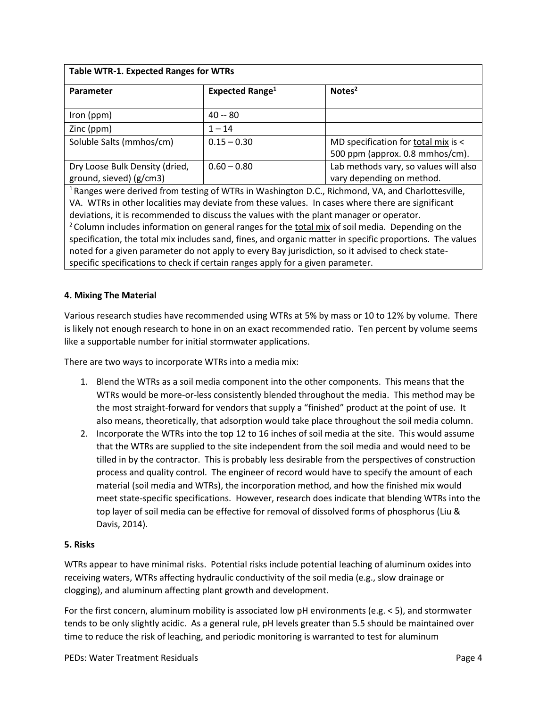| <b>Table WTR-1. Expected Ranges for WTRs</b>                                                                 |                             |                                       |  |
|--------------------------------------------------------------------------------------------------------------|-----------------------------|---------------------------------------|--|
| <b>Parameter</b>                                                                                             | Expected Range <sup>1</sup> | Notes <sup>2</sup>                    |  |
| Iron ( $ppm$ )                                                                                               | $40 - 80$                   |                                       |  |
|                                                                                                              |                             |                                       |  |
| Zinc (ppm)                                                                                                   | $1 - 14$                    |                                       |  |
| Soluble Salts (mmhos/cm)                                                                                     | $0.15 - 0.30$               | MD specification for total mix is <   |  |
|                                                                                                              |                             | 500 ppm (approx. 0.8 mmhos/cm).       |  |
| Dry Loose Bulk Density (dried,                                                                               | $0.60 - 0.80$               | Lab methods vary, so values will also |  |
| ground, sieved) (g/cm3)                                                                                      |                             | vary depending on method.             |  |
| <sup>1</sup> Ranges were derived from testing of WTRs in Washington D.C., Richmond, VA, and Charlottesville, |                             |                                       |  |
| VA. WTRs in other localities may deviate from these values. In cases where there are significant             |                             |                                       |  |
| deviations, it is recommended to discuss the values with the plant manager or operator.                      |                             |                                       |  |
| $^{2}$ Column includes information on general ranges for the total mix of soil media. Denending on the       |                             |                                       |  |

Column includes information on general ranges for the total mix of soil media. Depending on the specification, the total mix includes sand, fines, and organic matter in specific proportions. The values noted for a given parameter do not apply to every Bay jurisdiction, so it advised to check statespecific specifications to check if certain ranges apply for a given parameter.

#### **4. Mixing The Material**

Various research studies have recommended using WTRs at 5% by mass or 10 to 12% by volume. There is likely not enough research to hone in on an exact recommended ratio. Ten percent by volume seems like a supportable number for initial stormwater applications.

There are two ways to incorporate WTRs into a media mix:

- 1. Blend the WTRs as a soil media component into the other components. This means that the WTRs would be more-or-less consistently blended throughout the media. This method may be the most straight-forward for vendors that supply a "finished" product at the point of use. It also means, theoretically, that adsorption would take place throughout the soil media column.
- 2. Incorporate the WTRs into the top 12 to 16 inches of soil media at the site. This would assume that the WTRs are supplied to the site independent from the soil media and would need to be tilled in by the contractor. This is probably less desirable from the perspectives of construction process and quality control. The engineer of record would have to specify the amount of each material (soil media and WTRs), the incorporation method, and how the finished mix would meet state-specific specifications. However, research does indicate that blending WTRs into the top layer of soil media can be effective for removal of dissolved forms of phosphorus (Liu & Davis, 2014).

#### **5. Risks**

WTRs appear to have minimal risks. Potential risks include potential leaching of aluminum oxides into receiving waters, WTRs affecting hydraulic conductivity of the soil media (e.g., slow drainage or clogging), and aluminum affecting plant growth and development.

For the first concern, aluminum mobility is associated low pH environments (e.g. < 5), and stormwater tends to be only slightly acidic. As a general rule, pH levels greater than 5.5 should be maintained over time to reduce the risk of leaching, and periodic monitoring is warranted to test for aluminum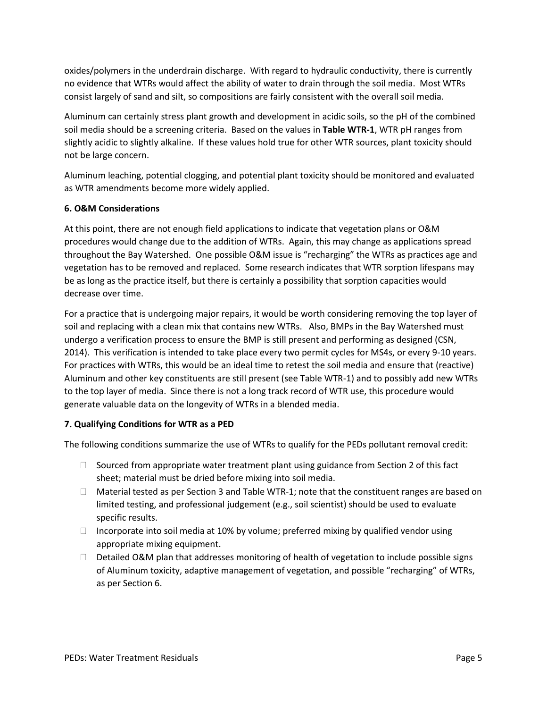oxides/polymers in the underdrain discharge. With regard to hydraulic conductivity, there is currently no evidence that WTRs would affect the ability of water to drain through the soil media. Most WTRs consist largely of sand and silt, so compositions are fairly consistent with the overall soil media.

Aluminum can certainly stress plant growth and development in acidic soils, so the pH of the combined soil media should be a screening criteria. Based on the values in **Table WTR-1**, WTR pH ranges from slightly acidic to slightly alkaline. If these values hold true for other WTR sources, plant toxicity should not be large concern.

Aluminum leaching, potential clogging, and potential plant toxicity should be monitored and evaluated as WTR amendments become more widely applied.

#### **6. O&M Considerations**

At this point, there are not enough field applications to indicate that vegetation plans or O&M procedures would change due to the addition of WTRs. Again, this may change as applications spread throughout the Bay Watershed. One possible O&M issue is "recharging" the WTRs as practices age and vegetation has to be removed and replaced. Some research indicates that WTR sorption lifespans may be as long as the practice itself, but there is certainly a possibility that sorption capacities would decrease over time.

For a practice that is undergoing major repairs, it would be worth considering removing the top layer of soil and replacing with a clean mix that contains new WTRs. Also, BMPs in the Bay Watershed must undergo a verification process to ensure the BMP is still present and performing as designed (CSN, 2014). This verification is intended to take place every two permit cycles for MS4s, or every 9-10 years. For practices with WTRs, this would be an ideal time to retest the soil media and ensure that (reactive) Aluminum and other key constituents are still present (see Table WTR-1) and to possibly add new WTRs to the top layer of media. Since there is not a long track record of WTR use, this procedure would generate valuable data on the longevity of WTRs in a blended media.

#### **7. Qualifying Conditions for WTR as a PED**

The following conditions summarize the use of WTRs to qualify for the PEDs pollutant removal credit:

- $\Box$  Sourced from appropriate water treatment plant using guidance from Section 2 of this fact sheet; material must be dried before mixing into soil media.
- $\Box$  Material tested as per Section 3 and Table WTR-1; note that the constituent ranges are based on limited testing, and professional judgement (e.g., soil scientist) should be used to evaluate specific results.
- $\Box$  Incorporate into soil media at 10% by volume; preferred mixing by qualified vendor using appropriate mixing equipment.
- $\Box$  Detailed O&M plan that addresses monitoring of health of vegetation to include possible signs of Aluminum toxicity, adaptive management of vegetation, and possible "recharging" of WTRs, as per Section 6.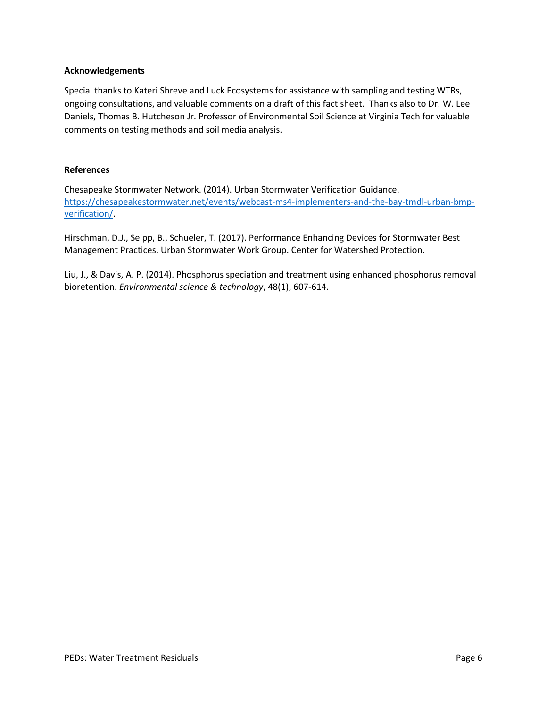#### **Acknowledgements**

Special thanks to Kateri Shreve and Luck Ecosystems for assistance with sampling and testing WTRs, ongoing consultations, and valuable comments on a draft of this fact sheet. Thanks also to Dr. W. Lee Daniels, Thomas B. Hutcheson Jr. Professor of Environmental Soil Science at Virginia Tech for valuable comments on testing methods and soil media analysis.

#### **References**

Chesapeake Stormwater Network. (2014). Urban Stormwater Verification Guidance. [https://chesapeakestormwater.net/events/webcast-ms4-implementers-and-the-bay-tmdl-urban-bmp](https://chesapeakestormwater.net/events/webcast-ms4-implementers-and-the-bay-tmdl-urban-bmp-verification/)[verification/.](https://chesapeakestormwater.net/events/webcast-ms4-implementers-and-the-bay-tmdl-urban-bmp-verification/)

Hirschman, D.J., Seipp, B., Schueler, T. (2017). Performance Enhancing Devices for Stormwater Best Management Practices. Urban Stormwater Work Group. Center for Watershed Protection.

Liu, J., & Davis, A. P. (2014). Phosphorus speciation and treatment using enhanced phosphorus removal bioretention. *Environmental science & technology*, 48(1), 607-614.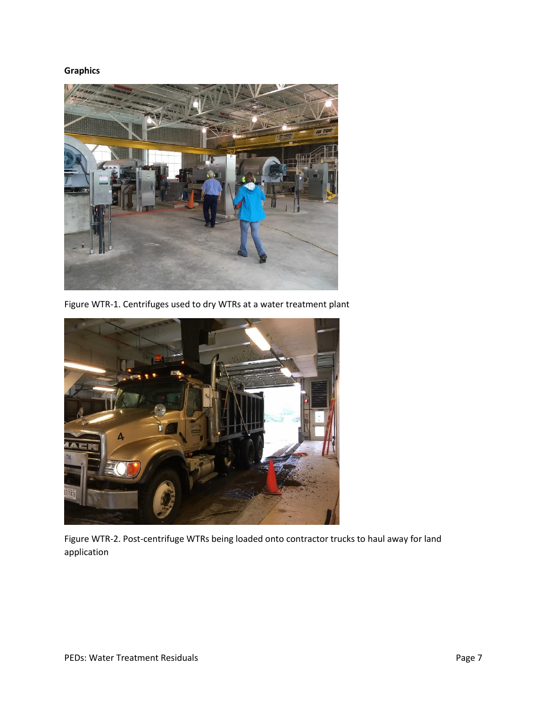### **Graphics**



Figure WTR-1. Centrifuges used to dry WTRs at a water treatment plant



Figure WTR-2. Post-centrifuge WTRs being loaded onto contractor trucks to haul away for land application